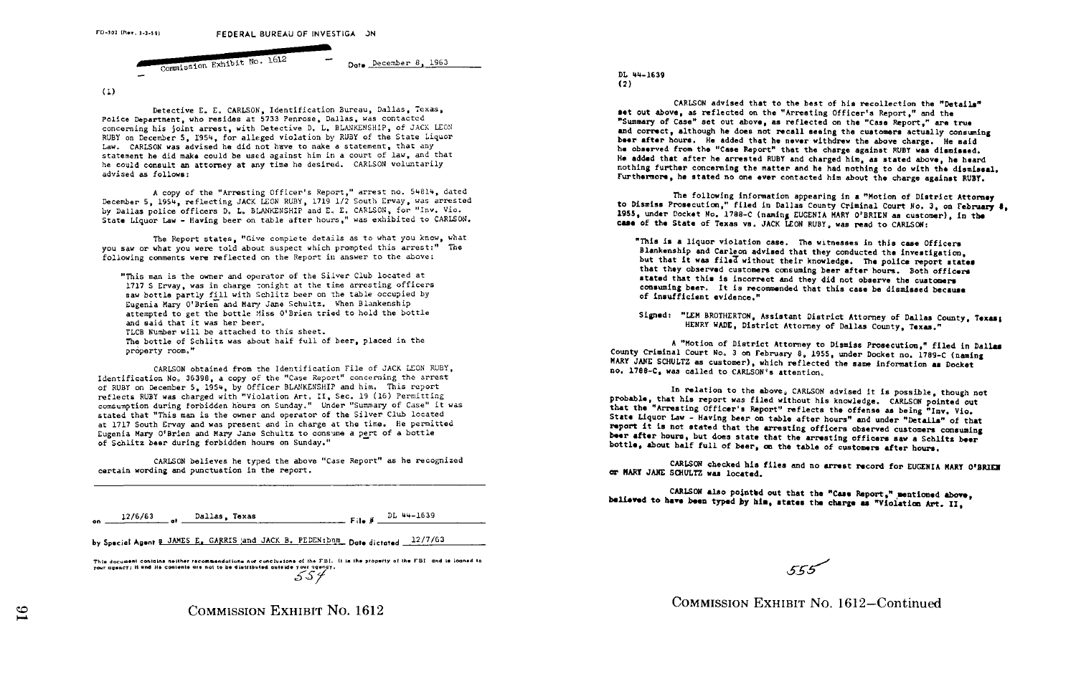FD-302 (Rev. 1-1-59) FEDERAL BUREAU OF INVESTIGA JN Commission Exhibit No. 1612 **Determber B, 1963** 

 $(1)$ 

Detective E. E. CARLSON, Idntification Bureau, Dallas, Texas, Police Department, who resides at 5733 Penrose, Dallas, was contacted concerning his joint arrest, with Detective D. L. BLANKENSHIP, of JACK LEON RUBY on December S, 1954, for alleged violation by RUBY of the State Liquor Law. CARLSON was advised he did not have to make a statement, that any statement he did make could be used against him in a court of law, and that he could consult an attorney at any time he desired. CARLSON voluntarily advised as follows:

A copy of the "Arresting Officer's Report," arrest no. 54814. dated December 5, 1954, reflecting JACK LEON RUBY, 1719 1/2 South Ervay, was arrested by Dallas police officers D. L. BLANKENSHIP and E. E. CARLSON, for "Inv. Vic. State Counsel Consult an attorney at any time ne desired. CARLSON VOLULESTLY<br>advised as follows:<br>A copy of the "Arresting Officer's Report," arrest no. 54814, dated<br>December 5, 1954, reflecting JACK LEON RUBY, 1719 1/2 Sou

The Report states, "Give complete details as to what you know, what you saw or what you were told about suspect which prompted this arrest:" The following comments were reflected on the Report in answer to the above:

"This man is the Owner and operator of the Silver Club located at 1717 S Ervay, was in charge tonight at the time arresting officers saw bottle partly fill with Schlitz beer on the table occupied by Eugenia Mary O'Brien and Mary Jane Schultz. When Blankenship attempted to get the bottle Miss O'Brien tried to hold the bottle and said that it was her beer. TLCB Number will be attached to this sheet. The bottle of Schlitz was about half full of beer, placed in the property room."

CARLSON obtained from the Identification File of JACK LEON RUBY, Identification No. 36398, a copy of the "Case Report" concerning the arrest of RUBY on December 5, 1954, by Officer BLANKENSNIP and him. This report reflects RUBY was charged with "Violation Art . II, Sec. 19 (16) Permitting . reflects RUBY was charged with "Violation Art, II, Sec. 19 (16) Permitting<br>comsumption during forbidden hours on Sunday," "Under "Summary of Case" it was<br>consumption during a second consumer and account on the Silver Club comsumption during rorbidden nours on sunday. Under Summary of case it at 1717 South Ervay and was present and in charge at the time . He permitted Eugenia Mary O'Brien and Mary Jane Schultz to consume a pert of a bottle of Schlitz beer during forbidden hours on Sunday ."

CARISON believes he typed the above "Case Report" as he recognized certain wording and punctuation in the report .

by Special Agent 8 JAMES E. GARRIS and JACK B. PEDEN: bnm. Date dictated 12/7/63

This document contains neither recommendations nor conclusions of the FBI. It is the property of the FBI and is loaned to your grancy: it and its contents are not to be distributed outside your agency.  $554$ 



DL 44-1639 (2)

CARLSON advised that to the best of his recollection the "Details" set out above, as reflected on the "Arresting Officer's Report," and the and correct, although he does not recall seeing the customers actually consuming<br>here often hours. He added that he come withdrew the change through "Summary of Case" set out above, as reflected on the "Case Report," are true beer after hours. He added that he never withdrew the above charge. He said he observed from the "Case Report" that the charge against RUBY was dismissed. He added that after he arrested RUBY and charged him, as stated above, he heard nothing further concerning the matter and he had nothing to do with the dlemlssal, Furthermore, he stated no one ever contacted him about the charge against RUBY.

The following information appearing in a "Motion of District Attorney to Dismiss Prosecution," filed in Dallas County Criminal Court No. 3, on February 8. 1955, under Docket No. 1788-C (naming EUGENIA MARY O'BRIEN as customer), in the case of the State of Texas vs. JACK LEON RUBY, was read to CARLSON:

"This is a liquor violation case. The witnesses in this case Officers<br>Care in the case of the case of the case of the case of the case of the case of the case of the case of the ca Blankenship and Carleon advised that they conducted the investigation,<br>but that it was filed without their boardades. The said concernsion, but that It was filed without their knowledge. The police report states that they observed customers consuming beer after hours. Both officers stated that this is incorrect and they did not observe the customers stated that this is incorrect and they did not observe the customers<br>consuming beer. It is recommended that this case be dismissed because<br>of insufficient evidence " of insufficient evidence ."

Signed: "LEM BROTHERTON, Assistant District Attorney of Dallas County, Texas; HENRY WADE, District Attorney of Dallas County, Texas."

A "Motion of District Attorney to Dismiss Prosecution," filed in Dallas<br>County Criminal Court No. 3 on February 8. 1955, under Docket no. 1789-C (naming MARY JANE SCHULTZ as customer), which reflected the same information as Docket no . 1788-C, was called to CARLSON's attention.

In relation to the above, CARLSON advised it is possible, though not probable, that his report was filed without his knowledge. CARLSON pointed out that the "Arresting Officer's Report" reflects the offense as being "Inv. Vio.<br>State Liquor Law - Having beer on table after hours" and under "Details" of that<br>report it is not stated that the arresting officers observed c State Liquor Law - Having beer on table after hours" and under "Details" of that<br>report it is not stated that the arresting officers observed customers consuming<br>beer after hours, but does state that the arresting officers bottle, about half full of beer, on the table of customers after hours.

CARLSON checked his files and no arrest record for EUGENIA MARY O'BRIEN or MARY JANE SCHULTZ was located.

CARLSON also pointed out that the "Case Report," mentioned above, believed to have been typed by him, states the charge as "Violation Art. II,

 $555$ 

COMMISSION EXHIBIT No. 1612-Continued

COMMISSION EXHIBIT NO. 1612